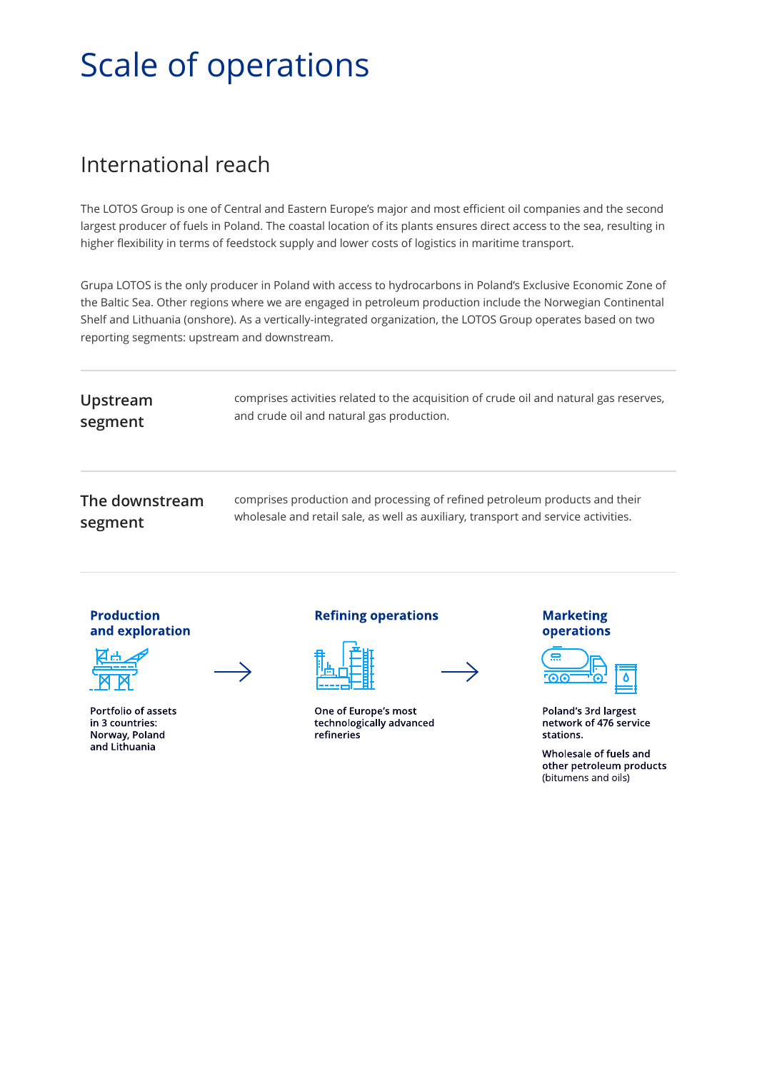# Scale of operations

# International reach

The LOTOS Group is one of Central and Eastern Europe's major and most efficient oil companies and the second largest producer of fuels in Poland. The coastal location of its plants ensures direct access to the sea, resulting in higher flexibility in terms of feedstock supply and lower costs of logistics in maritime transport.

Grupa LOTOS is the only producer in Poland with access to hydrocarbons in Poland's Exclusive Economic Zone of the Baltic Sea. Other regions where we are engaged in petroleum production include the Norwegian Continental Shelf and Lithuania (onshore). As a vertically-integrated organization, the LOTOS Group operates based on two reporting segments: upstream and downstream.

| Upstream       | comprises activities related to the acquisition of crude oil and natural gas reserves, |
|----------------|----------------------------------------------------------------------------------------|
| segment        | and crude oil and natural gas production.                                              |
| The downstream | comprises production and processing of refined petroleum products and their            |
| segment        | wholesale and retail sale, as well as auxiliary, transport and service activities.     |





Portfolio of assets in 3 countries: Norway, Poland and Lithuania

#### **Refining operations**

One of Europe's most technologically advanced refineries

#### **Marketing** operations



Poland's 3rd largest network of 476 service stations.

Wholesale of fuels and other petroleum products (bitumens and oils)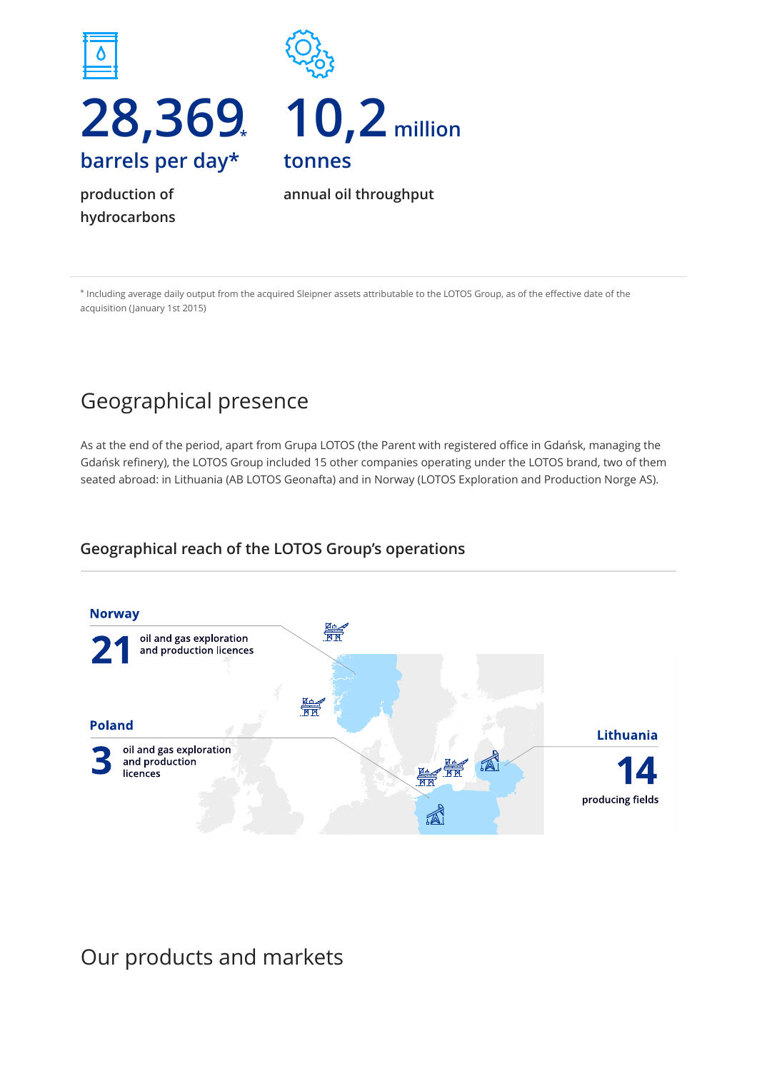

**production of hydrocarbons** **annual oil throughput**

\* Including average daily output from the acquired Sleipner assets attributable to the LOTOS Group, as of the effective date of the acquisition (January 1st 2015)

# Geographical presence

As at the end of the period, apart from Grupa LOTOS (the Parent with registered office in Gdańsk, managing the Gdańsk refinery), the LOTOS Group included 15 other companies operating under the LOTOS brand, two of them seated abroad: in Lithuania (AB LOTOS Geonafta) and in Norway (LOTOS Exploration and Production Norge AS).

### **Geographical reach of the LOTOS Group's operations**



Our products and markets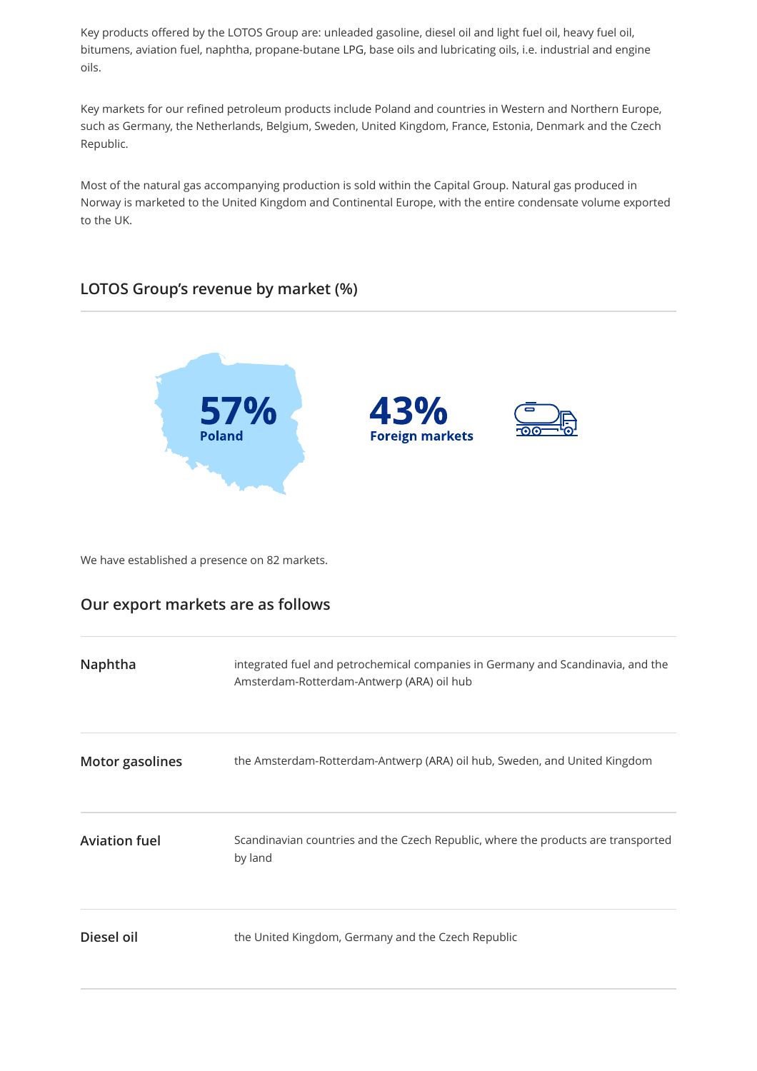Key products offered by the LOTOS Group are: unleaded gasoline, diesel oil and light fuel oil, heavy fuel oil, bitumens, aviation fuel, naphtha, propane-butane LPG, base oils and lubricating oils, i.e. industrial and engine oils.

Key markets for our refined petroleum products include Poland and countries in Western and Northern Europe, such as Germany, the Netherlands, Belgium, Sweden, United Kingdom, France, Estonia, Denmark and the Czech Republic.

Most of the natural gas accompanying production is sold within the Capital Group. Natural gas produced in Norway is marketed to the United Kingdom and Continental Europe, with the entire condensate volume exported to the UK.

#### **LOTOS Group's revenue by market (%)**



We have established a presence on 82 markets.

#### **Our export markets are as follows**

| Naphtha                | integrated fuel and petrochemical companies in Germany and Scandinavia, and the<br>Amsterdam-Rotterdam-Antwerp (ARA) oil hub |
|------------------------|------------------------------------------------------------------------------------------------------------------------------|
| <b>Motor gasolines</b> | the Amsterdam-Rotterdam-Antwerp (ARA) oil hub, Sweden, and United Kingdom                                                    |
| <b>Aviation fuel</b>   | Scandinavian countries and the Czech Republic, where the products are transported<br>by land                                 |
| Diesel oil             | the United Kingdom, Germany and the Czech Republic                                                                           |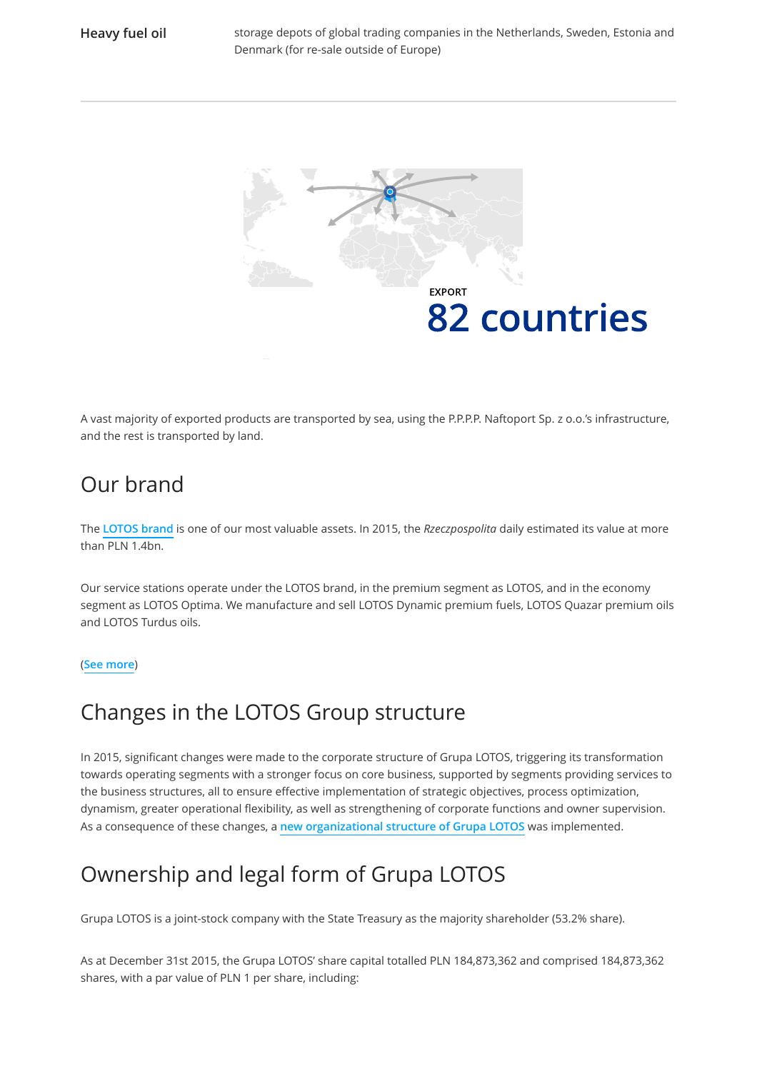

A vast majority of exported products are transported by sea, using the P.P.P.P. Naftoport Sp. z o.o.'s infrastructure, and the rest is transported by land.

## Our brand

The **[LOTOS brand](http://raportroczny.lotos.pl/en/product-customer-commitment-to-quality-safety-and-brand-image/lotos-brand-and-image)** is one of our most valuable assets. In 2015, the *Rzeczpospolita* daily estimated its value at more than PLN 1.4bn.

Our service stations operate under the LOTOS brand, in the premium segment as LOTOS, and in the economy segment as LOTOS Optima. We manufacture and sell LOTOS Dynamic premium fuels, LOTOS Quazar premium oils and LOTOS Turdus oils.

#### (**[See more](http://raportroczny.lotos.pl/en/product-customer-commitment-to-quality-safety-and-brand-image/our-products)**)

### Changes in the LOTOS Group structure

In 2015, significant changes were made to the corporate structure of Grupa LOTOS, triggering its transformation towards operating segments with a stronger focus on core business, supported by segments providing services to the business structures, all to ensure effective implementation of strategic objectives, process optimization, dynamism, greater operational flexibility, as well as strengthening of corporate functions and owner supervision. As a consequence of these changes, a **[new organizational structure of Grupa LOTOS](http://raportroczny.lotos.pl/en/efficient-and-stable-organization/efficient-organization-management/robust-structure)** was implemented.

# Ownership and legal form of Grupa LOTOS

Grupa LOTOS is a joint-stock company with the State Treasury as the majority shareholder (53.2% share).

As at December 31st 2015, the Grupa LOTOS' share capital totalled PLN 184,873,362 and comprised 184,873,362 shares, with a par value of PLN 1 per share, including: